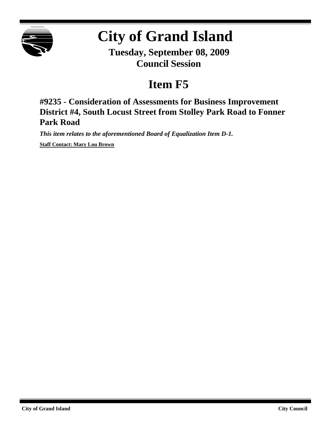

# **City of Grand Island**

**Tuesday, September 08, 2009 Council Session**

# **Item F5**

**#9235 - Consideration of Assessments for Business Improvement District #4, South Locust Street from Stolley Park Road to Fonner Park Road**

*This item relates to the aforementioned Board of Equalization Item D-1.*

**Staff Contact: Mary Lou Brown**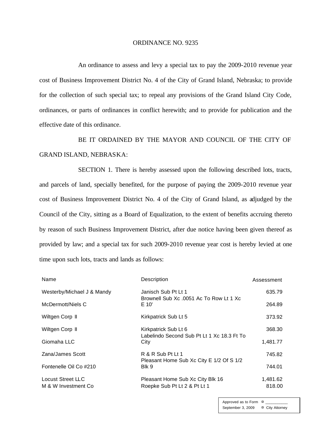#### ORDINANCE NO. 9235

An ordinance to assess and levy a special tax to pay the 2009-2010 revenue year cost of Business Improvement District No. 4 of the City of Grand Island, Nebraska; to provide for the collection of such special tax; to repeal any provisions of the Grand Island City Code, ordinances, or parts of ordinances in conflict herewith; and to provide for publication and the effective date of this ordinance.

BE IT ORDAINED BY THE MAYOR AND COUNCIL OF THE CITY OF GRAND ISLAND, NEBRASKA:

SECTION 1. There is hereby assessed upon the following described lots, tracts, and parcels of land, specially benefited, for the purpose of paying the 2009-2010 revenue year cost of Business Improvement District No. 4 of the City of Grand Island, as adjudged by the Council of the City, sitting as a Board of Equalization, to the extent of benefits accruing thereto by reason of such Business Improvement District, after due notice having been given thereof as provided by law; and a special tax for such 2009-2010 revenue year cost is hereby levied at one time upon such lots, tracts and lands as follows:

| Name                                             | Description                                                                | Assessment         |
|--------------------------------------------------|----------------------------------------------------------------------------|--------------------|
| Westerby/Michael J & Mandy                       | Janisch Sub Pt Lt 1<br>Brownell Sub Xc .0051 Ac To Row Lt 1 Xc<br>E 10'    | 635.79             |
| McDermott/Niels C                                |                                                                            | 264.89             |
| Wiltgen Corp II                                  | Kirkpatrick Sub Lt 5                                                       | 373.92             |
| Wiltgen Corp II                                  | Kirkpatrick Sub Lt 6<br>Labelindo Second Sub Pt Lt 1 Xc 18.3 Ft To<br>City | 368.30             |
| Giomaha LLC                                      |                                                                            | 1,481.77           |
| Zana/James Scott                                 | R & R Sub Pt Lt 1<br>Pleasant Home Sub Xc City E 1/2 Of S 1/2<br>Blk 9     | 745.82             |
| Fontenelle Oil Co #210                           |                                                                            | 744.01             |
| <b>Locust Street LLC</b><br>M & W Investment Co. | Pleasant Home Sub Xc City Blk 16<br>Roepke Sub Pt Lt 2 & Pt Lt 1           | 1,481.62<br>818.00 |

Approved as to Form  $\pi$ September 3, 2009 ¤ City Attorney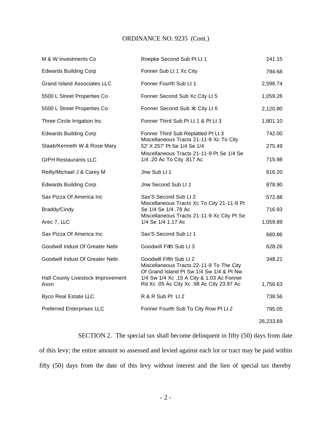## ORDINANCE NO. 9235 (Cont.)

| M & W Investments Co                      | Roepke Second Sub Pt Lt 1                                                                                                                                       | 241.15    |
|-------------------------------------------|-----------------------------------------------------------------------------------------------------------------------------------------------------------------|-----------|
| <b>Edwards Building Corp</b>              | Fonner Sub Lt 1 Xc City                                                                                                                                         | 794.68    |
| <b>Grand Island Associates LLC</b>        | Fonner Fourth Sub Lt 1                                                                                                                                          | 2,596.74  |
| 5500 L Street Properties Co               | Fonner Second Sub Xc City Lt 5                                                                                                                                  | 1,059.26  |
| 5500 L Street Properties Co               | Fonner Second Sub Xc City Lt 6                                                                                                                                  | 2,120.80  |
| Three Circle Irrigation Inc               | Fonner Third Sub Pt Lt 1 & Pt Lt 3                                                                                                                              | 1,801.10  |
| <b>Edwards Building Corp</b>              | Fonner Third Sub Replatted Pt Lt 3                                                                                                                              | 742.00    |
| Staab/Kenneth W & Rose Mary               | Miscellaneous Tracts 21-11-9 Xc To City<br>52' X 257' Pt Se 1/4 Se 1/4<br>Miscellaneous Tracts 21-11-9 Pt Se 1/4 Se<br>1/4 .20 Ac To City .817 Ac               | 275.49    |
| <b>GIPH Restaurants LLC</b>               |                                                                                                                                                                 | 715.98    |
| Reilly/Michael J & Carey M                | Jnw Sub Lt 1                                                                                                                                                    | 816.20    |
| <b>Edwards Building Corp</b>              | Jnw Second Sub Lt 1                                                                                                                                             | 878.90    |
| Sax Pizza Of America Inc                  | Sax'S Second Sub Lt 2<br>Miscellaneous Tracts Xc To City 21-11-9 Pt<br>Se 1/4 Se 1/4 .78 Ac<br>Miscellaneous Tracts 21-11-9 Xc City Pt Se<br>1/4 Se 1/4 1.17 Ac | 572.88    |
| Braddy/Cindy                              |                                                                                                                                                                 | 716.93    |
| Arec 7, LLC                               |                                                                                                                                                                 | 1,059.89  |
| Sax Pizza Of America Inc                  | Sax'S Second Sub Lt 1                                                                                                                                           | 660.86    |
| Goodwill Indust Of Greater Nebr           | Goodwill Fifth Sub Lt 3                                                                                                                                         | 628.26    |
| Goodwill Indust Of Greater Nebr           | Goodwill Fifth Sub Lt 2<br>Miscellaneous Tracts 22-11-9 To The City<br>Of Grand Island Pt Sw 1/4 Sw 1/4 & Pt Nw                                                 | 348.21    |
| Hall County Livestock Improvement<br>Assn | 1/4 Sw 1/4 Xc .15 A City & 1.03 Ac Fonner<br>Rd Xc .05 Ac City Xc .98 Ac City 23.97 Ac                                                                          | 1,756.63  |
| <b>Byco Real Estate LLC</b>               | R & R Sub Pt Lt 2                                                                                                                                               | 738.56    |
| <b>Preferred Enterprises LLC</b>          | Fonner Fourth Sub To City Row Pt Lt 2                                                                                                                           | 795.05    |
|                                           |                                                                                                                                                                 | 26,233.69 |

SECTION 2. The special tax shall become delinquent in fifty (50) days from date of this levy; the entire amount so assessed and levied against each lot or tract may be paid within fifty (50) days from the date of this levy without interest and the lien of special tax thereby